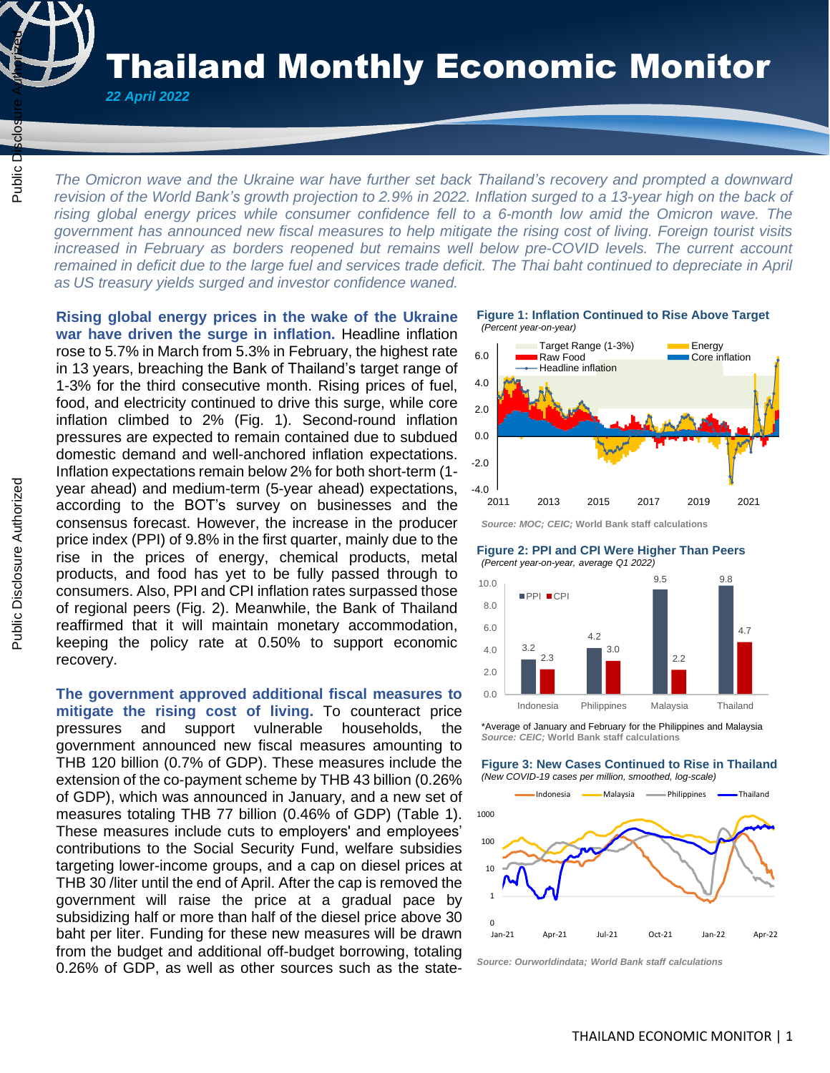Thailand Monthly Economic Monitor

*22 April 2022* 

 $\frac{1}{4}$ 

*The Omicron wave and the Ukraine war have further set back Thailand's recovery and prompted a downward revision of the World Bank's growth projection to 2.9% in 2022. Inflation surged to a 13-year high on the back of rising global energy prices while consumer confidence fell to a 6-month low amid the Omicron wave. The government has announced new fiscal measures to help mitigate the rising cost of living. Foreign tourist visits increased in February as borders reopened but remains well below pre-COVID levels. The current account remained in deficit due to the large fuel and services trade deficit. The Thai baht continued to depreciate in April as US treasury yields surged and investor confidence waned.* The Omicron wave and the Ukraine war have further set back Thailand's recovery a<br>  $\frac{1}{2}$  The Omicron wave and the Ukraine war have further set back Thailand's recovery a<br>
revision of the World Bank's growth projection

**Rising global energy prices in the wake of the Ukraine war have driven the surge in inflation.** Headline inflation rose to 5.7% in March from 5.3% in February, the highest rate in 13 years, breaching the Bank of Thailand's target range of 1-3% for the third consecutive month. Rising prices of fuel, food, and electricity continued to drive this surge, while core inflation climbed to 2% (Fig. 1). Second-round inflation pressures are expected to remain contained due to subdued domestic demand and well-anchored inflation expectations. Inflation expectations remain below 2% for both short-term (1 year ahead) and medium-term (5-year ahead) expectations, according to the BOT's survey on businesses and the consensus forecast. However, the increase in the producer price index (PPI) of 9.8% in the first quarter, mainly due to the rise in the prices of energy, chemical products, metal products, and food has yet to be fully passed through to consumers. Also, PPI and CPI inflation rates surpassed those of regional peers (Fig. 2). Meanwhile, the Bank of Thailand reaffirmed that it will maintain monetary accommodation, keeping the policy rate at 0.50% to support economic recovery.

**The government approved additional fiscal measures to mitigate the rising cost of living.** To counteract price pressures and support vulnerable households, the government announced new fiscal measures amounting to THB 120 billion (0.7% of GDP). These measures include the extension of the co-payment scheme by THB 43 billion (0.26% of GDP), which was announced in January, and a new set of measures totaling THB 77 billion (0.46% of GDP) (Table 1). These measures include cuts to employers' and employees' contributions to the Social Security Fund, welfare subsidies targeting lower-income groups, and a cap on diesel prices at THB 30 /liter until the end of April. After the cap is removed the government will raise the price at a gradual pace by subsidizing half or more than half of the diesel price above 30 baht per liter. Funding for these new measures will be drawn from the budget and additional off-budget borrowing, totaling 0.26% of GDP, as well as other sources such as the state-

**Figure 1: Inflation Continued to Rise Above Target** *(Percent year-on-year)*



*Source: MOC; CEIC;* **World Bank staff calculations**

**Figure 2: PPI and CPI Were Higher Than Peers** *(Percent year-on-year, average Q1 2022)*



\*Average of January and February for the Philippines and Malaysia *Source: CEIC;* **World Bank staff calculations**

**Figure 3: New Cases Continued to Rise in Thailand** *(New COVID-19 cases per million, smoothed, log-scale)*



*Source: Ourworldindata; World Bank staff calculations*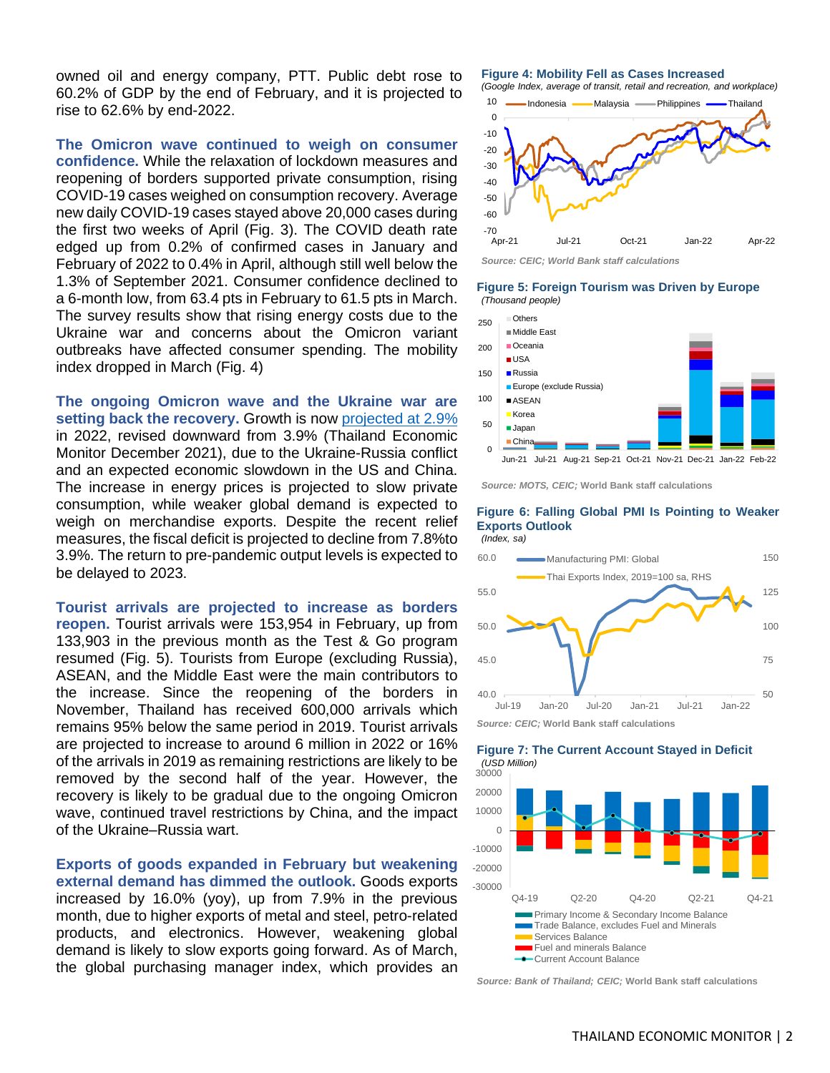owned oil and energy company, PTT. Public debt rose to 60.2% of GDP by the end of February, and it is projected to rise to 62.6% by end-2022.

**The Omicron wave continued to weigh on consumer confidence.** While the relaxation of lockdown measures and reopening of borders supported private consumption, rising COVID-19 cases weighed on consumption recovery. Average new daily COVID-19 cases stayed above 20,000 cases during the first two weeks of April (Fig. 3). The COVID death rate edged up from 0.2% of confirmed cases in January and February of 2022 to 0.4% in April, although still well below the 1.3% of September 2021. Consumer confidence declined to a 6-month low, from 63.4 pts in February to 61.5 pts in March. The survey results show that rising energy costs due to the Ukraine war and concerns about the Omicron variant outbreaks have affected consumer spending. The mobility index dropped in March (Fig. 4)

**The ongoing Omicron wave and the Ukraine war are setting back the recovery.** Growth is now [projected at](https://openknowledge.worldbank.org/bitstream/handle/10986/37097/9781464818585.pdf) 2.9% in 2022, revised downward from 3.9% (Thailand Economic Monitor December 2021), due to the Ukraine-Russia conflict and an expected economic slowdown in the US and China. The increase in energy prices is projected to slow private consumption, while weaker global demand is expected to weigh on merchandise exports. Despite the recent relief measures, the fiscal deficit is projected to decline from 7.8%to 3.9%. The return to pre-pandemic output levels is expected to be delayed to 2023.

**Tourist arrivals are projected to increase as borders reopen.** Tourist arrivals were 153,954 in February, up from 133,903 in the previous month as the Test & Go program resumed (Fig. 5). Tourists from Europe (excluding Russia), ASEAN, and the Middle East were the main contributors to the increase. Since the reopening of the borders in November, Thailand has received 600,000 arrivals which remains 95% below the same period in 2019. Tourist arrivals are projected to increase to around 6 million in 2022 or 16% of the arrivals in 2019 as remaining restrictions are likely to be removed by the second half of the year. However, the recovery is likely to be gradual due to the ongoing Omicron wave, continued travel restrictions by China, and the impact of the Ukraine–Russia wart.

**Exports of goods expanded in February but weakening external demand has dimmed the outlook.** Goods exports increased by 16.0% (yoy), up from 7.9% in the previous month, due to higher exports of metal and steel, petro-related products, and electronics. However, weakening global demand is likely to slow exports going forward. As of March, the global purchasing manager index, which provides an

**Figure 4: Mobility Fell as Cases Increased** *(Google Index, average of transit, retail and recreation, and workplace)*



*Source: CEIC; World Bank staff calculations*

**Figure 5: Foreign Tourism was Driven by Europe** *(Thousand people)*



*Source: MOTS, CEIC;* **World Bank staff calculations**

**Exports Outlook**



**Figure 6: Falling Global PMI Is Pointing to Weaker** 

*Source: CEIC;* **World Bank staff calculations**



#### **Figure 7: The Current Account Stayed in Deficit**  *(USD Million)*

*Source: Bank of Thailand; CEIC;* **World Bank staff calculations**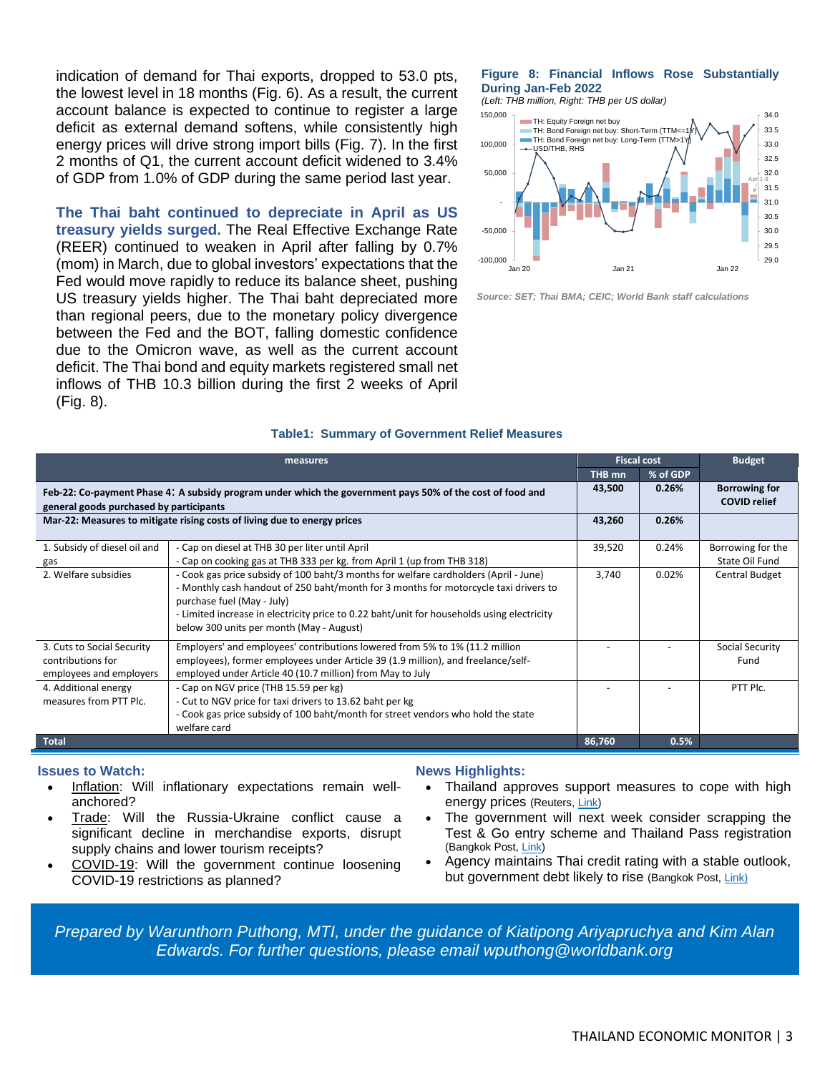indication of demand for Thai exports, dropped to 53.0 pts, the lowest level in 18 months (Fig. 6). As a result, the current account balance is expected to continue to register a large deficit as external demand softens, while consistently high energy prices will drive strong import bills (Fig. 7). In the first 2 months of Q1, the current account deficit widened to 3.4% of GDP from 1.0% of GDP during the same period last year.

**The Thai baht continued to depreciate in April as US treasury yields surged.** The Real Effective Exchange Rate (REER) continued to weaken in April after falling by 0.7% (mom) in March, due to global investors' expectations that the Fed would move rapidly to reduce its balance sheet, pushing US treasury yields higher. The Thai baht depreciated more than regional peers, due to the monetary policy divergence between the Fed and the BOT, falling domestic confidence due to the Omicron wave, as well as the current account deficit. The Thai bond and equity markets registered small net inflows of THB 10.3 billion during the first 2 weeks of April (Fig. 8).

## **Figure 8: Financial Inflows Rose Substantially During Jan-Feb 2022**

*(Left: THB million, Right: THB per US dollar)*



*Source: SET; Thai BMA; CEIC; World Bank staff calculations*

|                                                                                                                                                      | <b>Fiscal cost</b>                                                                                                                                                                                                                                                                                                                                   |        | <b>Budget</b>                               |                                     |
|------------------------------------------------------------------------------------------------------------------------------------------------------|------------------------------------------------------------------------------------------------------------------------------------------------------------------------------------------------------------------------------------------------------------------------------------------------------------------------------------------------------|--------|---------------------------------------------|-------------------------------------|
|                                                                                                                                                      |                                                                                                                                                                                                                                                                                                                                                      | THB mn | % of GDP                                    |                                     |
| Feb-22: Co-payment Phase 4: A subsidy program under which the government pays 50% of the cost of food and<br>general goods purchased by participants | 43,500                                                                                                                                                                                                                                                                                                                                               | 0.26%  | <b>Borrowing for</b><br><b>COVID relief</b> |                                     |
| Mar-22: Measures to mitigate rising costs of living due to energy prices                                                                             | 43,260                                                                                                                                                                                                                                                                                                                                               | 0.26%  |                                             |                                     |
| 1. Subsidy of diesel oil and<br>gas                                                                                                                  | - Cap on diesel at THB 30 per liter until April<br>- Cap on cooking gas at THB 333 per kg. from April 1 (up from THB 318)                                                                                                                                                                                                                            | 39,520 | 0.24%                                       | Borrowing for the<br>State Oil Fund |
| 2. Welfare subsidies                                                                                                                                 | - Cook gas price subsidy of 100 baht/3 months for welfare cardholders (April - June)<br>- Monthly cash handout of 250 baht/month for 3 months for motorcycle taxi drivers to<br>purchase fuel (May - July)<br>- Limited increase in electricity price to 0.22 baht/unit for households using electricity<br>below 300 units per month (May - August) | 3.740  | 0.02%                                       | Central Budget                      |
| 3. Cuts to Social Security<br>contributions for<br>employees and employers                                                                           | Employers' and employees' contributions lowered from 5% to 1% (11.2 million<br>employees), former employees under Article 39 (1.9 million), and freelance/self-<br>employed under Article 40 (10.7 million) from May to July                                                                                                                         |        |                                             | Social Security<br>Fund             |
| 4. Additional energy<br>measures from PTT Plc.                                                                                                       | - Cap on NGV price (THB 15.59 per kg)<br>- Cut to NGV price for taxi drivers to 13.62 baht per kg<br>- Cook gas price subsidy of 100 baht/month for street vendors who hold the state<br>welfare card                                                                                                                                                |        |                                             | PTT Plc.                            |
| <b>Total</b>                                                                                                                                         | 86,760                                                                                                                                                                                                                                                                                                                                               | 0.5%   |                                             |                                     |

## **Table1: Summary of Government Relief Measures**

### **Issues to Watch:**

- Inflation: Will inflationary expectations remain wellanchored?
- Trade: Will the Russia-Ukraine conflict cause a significant decline in merchandise exports, disrupt supply chains and lower tourism receipts?
- COVID-19: Will the government continue loosening COVID-19 restrictions as planned?

## **News Highlights:**

- Thailand approves support measures to cope with high energy prices (Reuters[, Link\)](https://www.reuters.com/world/asia-pacific/thailand-approves-support-measures-cope-with-high-energy-prices-2022-03-22/)
- The government will next week consider scrapping the Test & Go entry scheme and Thailand Pass registration (Bangkok Post, [Link\)](https://www.bangkokpost.com/business/2294618/test-go-may-be-binned-soon)
- Agency maintains Thai credit rating with a stable outlook, but government debt likely to rise (Bangkok Post[, Link\)](https://www.bangkokpost.com/business/2292630/moodys-affirms-resilient-economy)

*Prepared by Warunthorn Puthong, MTI, under the guidance of Kiatipong Ariyapruchya and Kim Alan Edwards. For further questions, please email [wputhong@worldbank.org](mailto:wputhong@worldbank.org)*